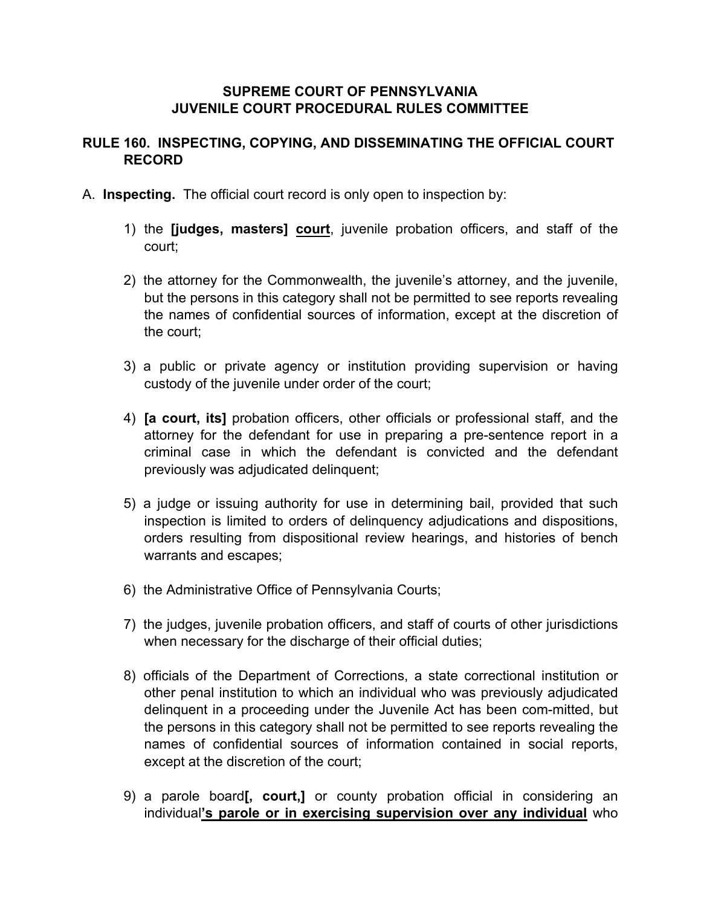### **SUPREME COURT OF PENNSYLVANIA JUVENILE COURT PROCEDURAL RULES COMMITTEE**

# **RULE 160. INSPECTING, COPYING, AND DISSEMINATING THE OFFICIAL COURT RECORD**

- A. **Inspecting.** The official court record is only open to inspection by:
	- 1) the **[judges, masters] court**, juvenile probation officers, and staff of the court;
	- 2) the attorney for the Commonwealth, the juvenile's attorney, and the juvenile, but the persons in this category shall not be permitted to see reports revealing the names of confidential sources of information, except at the discretion of the court;
	- 3) a public or private agency or institution providing supervision or having custody of the juvenile under order of the court;
	- 4) **[a court, its]** probation officers, other officials or professional staff, and the attorney for the defendant for use in preparing a pre-sentence report in a criminal case in which the defendant is convicted and the defendant previously was adjudicated delinquent;
	- 5) a judge or issuing authority for use in determining bail, provided that such inspection is limited to orders of delinquency adjudications and dispositions, orders resulting from dispositional review hearings, and histories of bench warrants and escapes;
	- 6) the Administrative Office of Pennsylvania Courts;
	- 7) the judges, juvenile probation officers, and staff of courts of other jurisdictions when necessary for the discharge of their official duties;
	- 8) officials of the Department of Corrections, a state correctional institution or other penal institution to which an individual who was previously adjudicated delinquent in a proceeding under the Juvenile Act has been com-mitted, but the persons in this category shall not be permitted to see reports revealing the names of confidential sources of information contained in social reports, except at the discretion of the court;
	- 9) a parole board**[, court,]** or county probation official in considering an individual**'s parole or in exercising supervision over any individual** who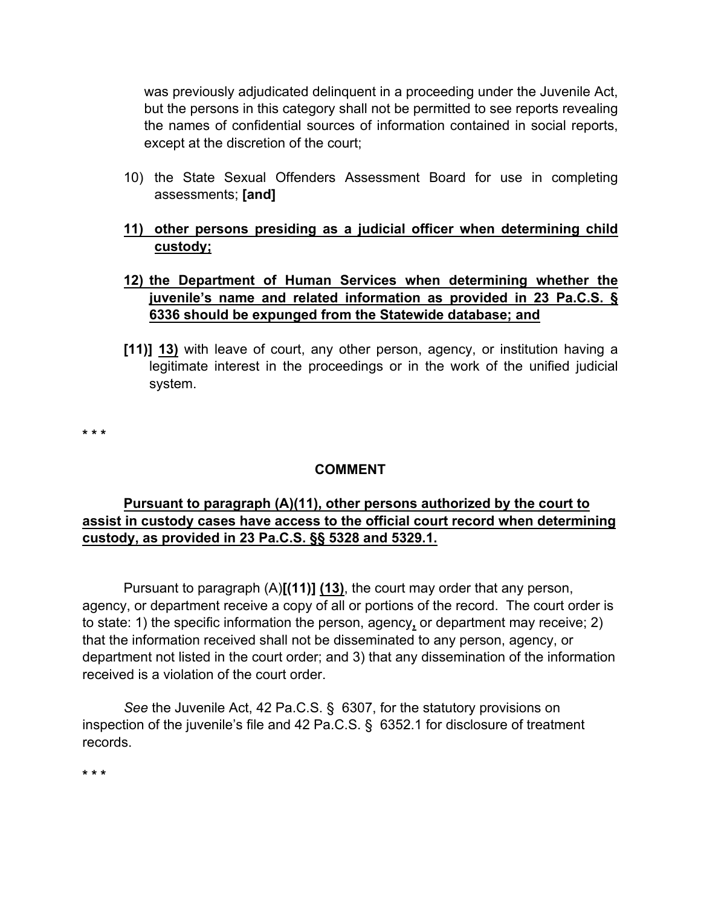was previously adjudicated delinquent in a proceeding under the Juvenile Act, but the persons in this category shall not be permitted to see reports revealing the names of confidential sources of information contained in social reports, except at the discretion of the court;

- 10) the State Sexual Offenders Assessment Board for use in completing assessments; **[and]**
- **11) other persons presiding as a judicial officer when determining child custody;**

### **12) the Department of Human Services when determining whether the juvenile's name and related information as provided in 23 Pa.C.S. § 6336 should be expunged from the Statewide database; and**

**[11)] 13)** with leave of court, any other person, agency, or institution having a legitimate interest in the proceedings or in the work of the unified judicial system.

**\* \* \***

# **COMMENT**

# **Pursuant to paragraph (A)(11), other persons authorized by the court to assist in custody cases have access to the official court record when determining custody, as provided in 23 Pa.C.S. §§ 5328 and 5329.1.**

Pursuant to paragraph (A)**[(11)] (13)**, the court may order that any person, agency, or department receive a copy of all or portions of the record. The court order is to state: 1) the specific information the person, agency**,** or department may receive; 2) that the information received shall not be disseminated to any person, agency, or department not listed in the court order; and 3) that any dissemination of the information received is a violation of the court order.

 *See* the Juvenile Act, 42 Pa.C.S. § 6307, for the statutory provisions on inspection of the juvenile's file and 42 Pa.C.S. § 6352.1 for disclosure of treatment records.

**\* \* \***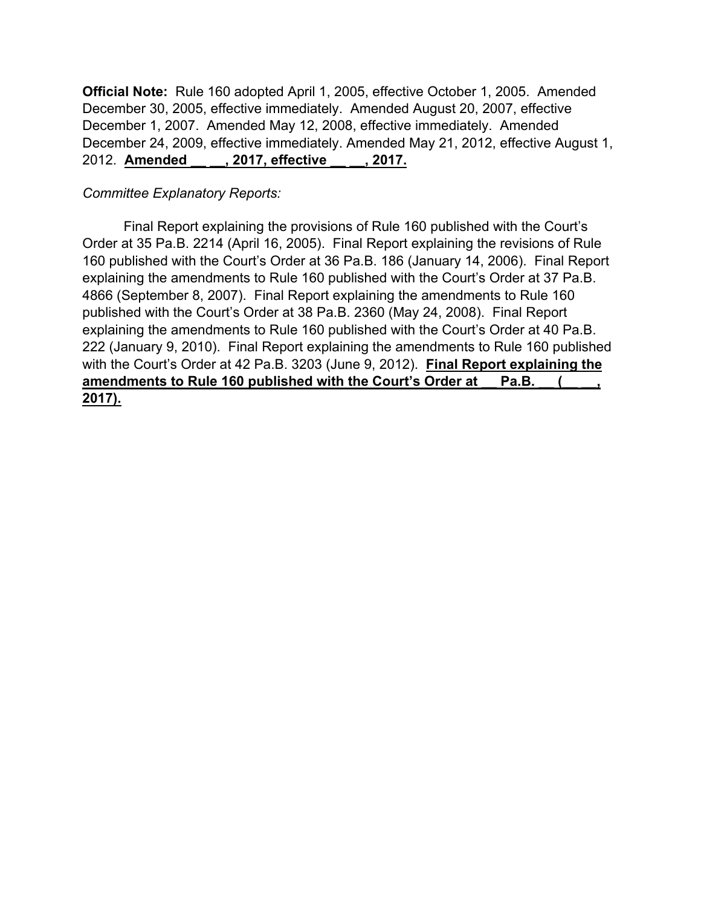**Official Note:** Rule 160 adopted April 1, 2005, effective October 1, 2005. Amended December 30, 2005, effective immediately. Amended August 20, 2007, effective December 1, 2007. Amended May 12, 2008, effective immediately. Amended December 24, 2009, effective immediately. Amended May 21, 2012, effective August 1, 2012. **Amended \_\_ \_\_, 2017, effective \_\_ \_\_, 2017.**

### *Committee Explanatory Reports:*

 Final Report explaining the provisions of Rule 160 published with the Court's Order at 35 Pa.B. 2214 (April 16, 2005). Final Report explaining the revisions of Rule 160 published with the Court's Order at 36 Pa.B. 186 (January 14, 2006). Final Report explaining the amendments to Rule 160 published with the Court's Order at 37 Pa.B. 4866 (September 8, 2007). Final Report explaining the amendments to Rule 160 published with the Court's Order at 38 Pa.B. 2360 (May 24, 2008). Final Report explaining the amendments to Rule 160 published with the Court's Order at 40 Pa.B. 222 (January 9, 2010). Final Report explaining the amendments to Rule 160 published with the Court's Order at 42 Pa.B. 3203 (June 9, 2012). **Final Report explaining the**  amendments to Rule 160 published with the Court's Order at Pa.B. **2017).**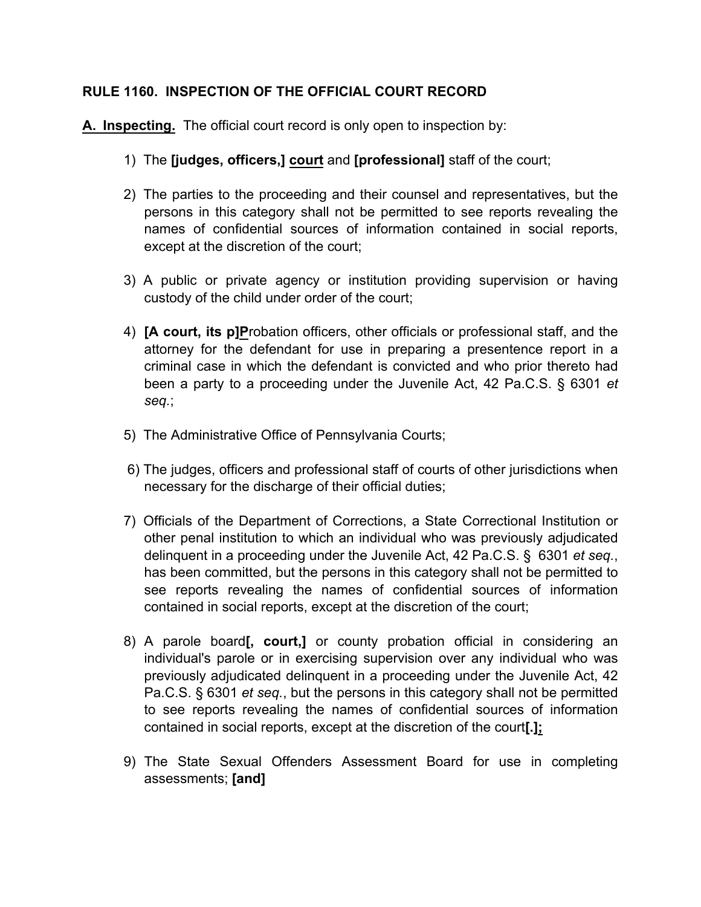## **RULE 1160. INSPECTION OF THE OFFICIAL COURT RECORD**

**A. Inspecting.** The official court record is only open to inspection by:

- 1) The **[judges, officers,] court** and **[professional]** staff of the court;
- 2) The parties to the proceeding and their counsel and representatives, but the persons in this category shall not be permitted to see reports revealing the names of confidential sources of information contained in social reports, except at the discretion of the court;
- 3) A public or private agency or institution providing supervision or having custody of the child under order of the court;
- 4) **[A court, its p]P**robation officers, other officials or professional staff, and the attorney for the defendant for use in preparing a presentence report in a criminal case in which the defendant is convicted and who prior thereto had been a party to a proceeding under the Juvenile Act, 42 Pa.C.S. § 6301 *et seq.*;
- 5) The Administrative Office of Pennsylvania Courts;
- 6) The judges, officers and professional staff of courts of other jurisdictions when necessary for the discharge of their official duties;
- 7) Officials of the Department of Corrections, a State Correctional Institution or other penal institution to which an individual who was previously adjudicated delinquent in a proceeding under the Juvenile Act, 42 Pa.C.S. § 6301 *et seq.*, has been committed, but the persons in this category shall not be permitted to see reports revealing the names of confidential sources of information contained in social reports, except at the discretion of the court;
- 8) A parole board**[, court,]** or county probation official in considering an individual's parole or in exercising supervision over any individual who was previously adjudicated delinquent in a proceeding under the Juvenile Act, 42 Pa.C.S. § 6301 *et seq.*, but the persons in this category shall not be permitted to see reports revealing the names of confidential sources of information contained in social reports, except at the discretion of the court**[.];**
- 9) The State Sexual Offenders Assessment Board for use in completing assessments; **[and]**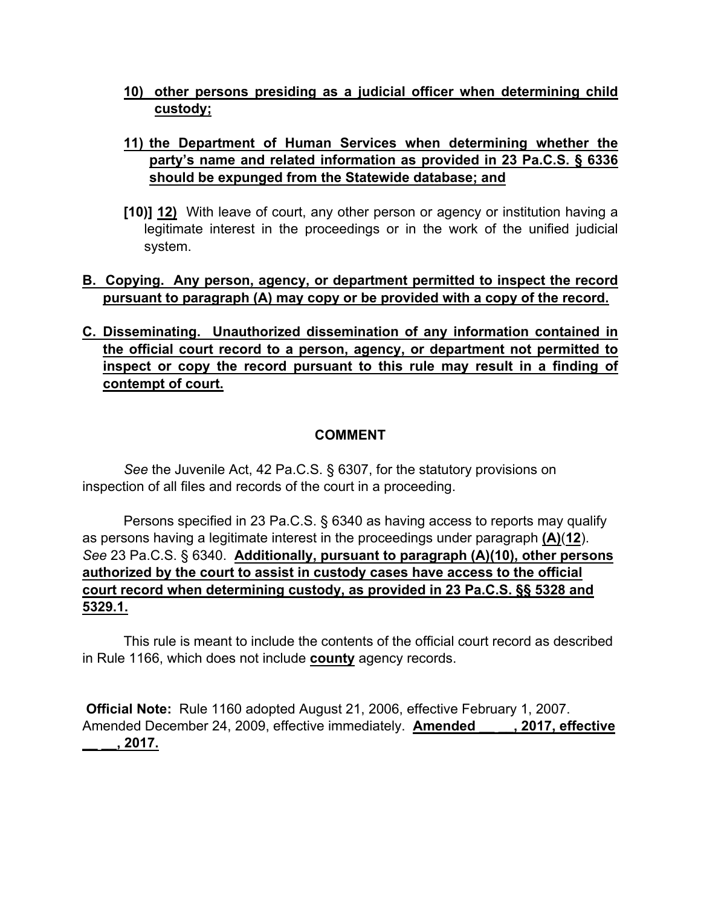**10) other persons presiding as a judicial officer when determining child custody;** 

# **11) the Department of Human Services when determining whether the party's name and related information as provided in 23 Pa.C.S. § 6336 should be expunged from the Statewide database; and**

**[10)] 12)** With leave of court, any other person or agency or institution having a legitimate interest in the proceedings or in the work of the unified judicial system.

# **B. Copying. Any person, agency, or department permitted to inspect the record pursuant to paragraph (A) may copy or be provided with a copy of the record.**

# **C. Disseminating. Unauthorized dissemination of any information contained in the official court record to a person, agency, or department not permitted to inspect or copy the record pursuant to this rule may result in a finding of contempt of court.**

# **COMMENT**

*See* the Juvenile Act, 42 Pa.C.S. § 6307, for the statutory provisions on inspection of all files and records of the court in a proceeding.

Persons specified in 23 Pa.C.S. § 6340 as having access to reports may qualify as persons having a legitimate interest in the proceedings under paragraph **(A)**(**12**). *See* 23 Pa.C.S. § 6340. **Additionally, pursuant to paragraph (A)(10), other persons authorized by the court to assist in custody cases have access to the official court record when determining custody, as provided in 23 Pa.C.S. §§ 5328 and 5329.1.**

This rule is meant to include the contents of the official court record as described in Rule 1166, which does not include **county** agency records.

**Official Note:** Rule 1160 adopted August 21, 2006, effective February 1, 2007. Amended December 24, 2009, effective immediately. **Amended \_\_ \_\_, 2017, effective \_\_ \_\_, 2017.**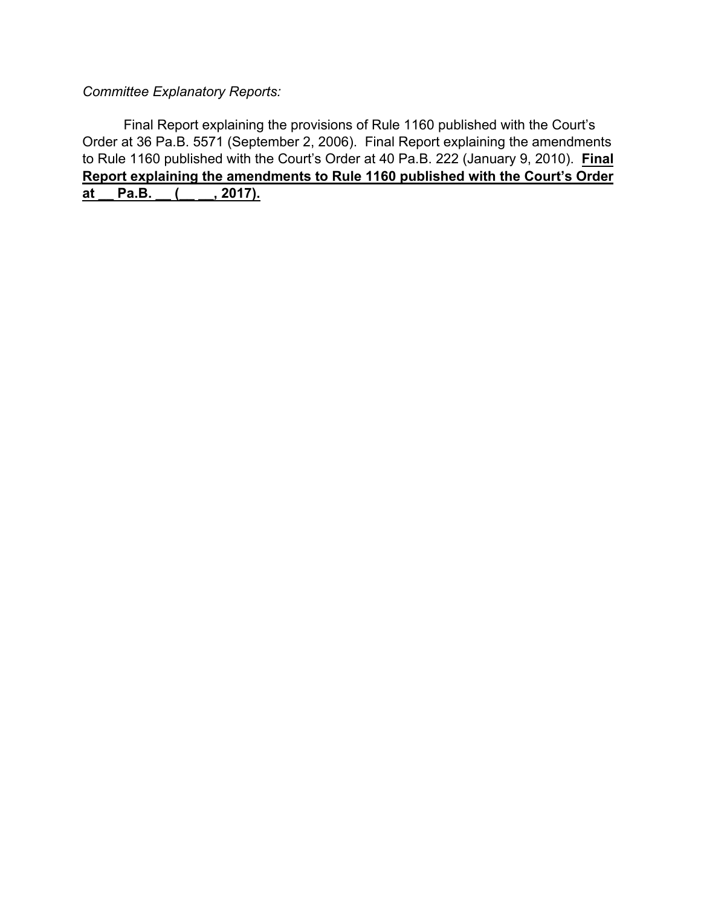*Committee Explanatory Reports:*

Final Report explaining the provisions of Rule 1160 published with the Court's Order at 36 Pa.B. 5571 (September 2, 2006). Final Report explaining the amendments to Rule 1160 published with the Court's Order at 40 Pa.B. 222 (January 9, 2010). **Final Report explaining the amendments to Rule 1160 published with the Court's Order at \_\_ Pa.B. \_\_ (\_\_ \_\_, 2017).**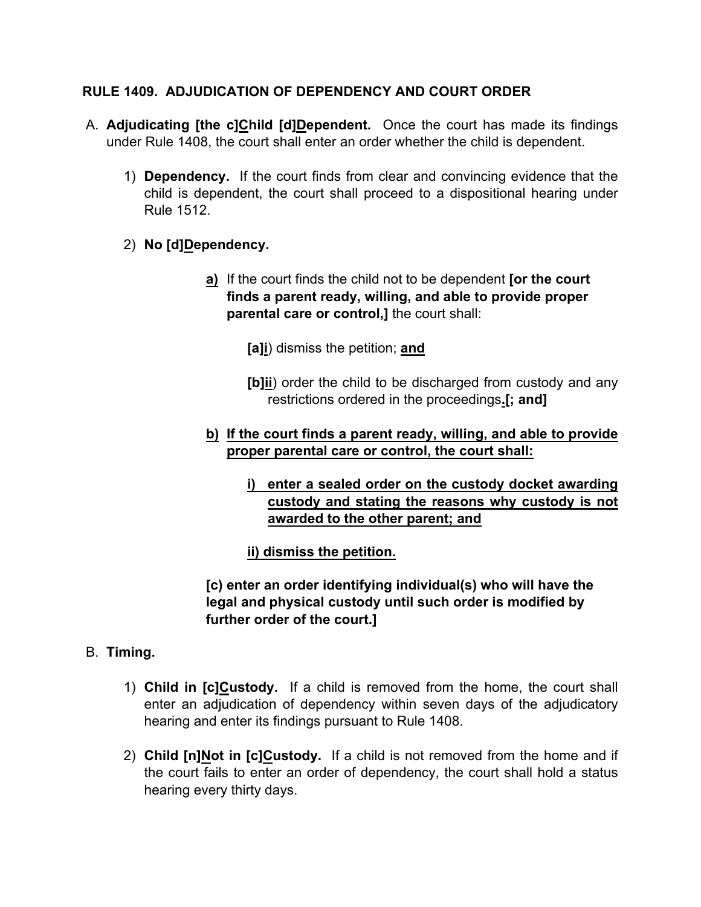# **RULE 1409. ADJUDICATION OF DEPENDENCY AND COURT ORDER**

- A. **Adjudicating [the c]Child [d]Dependent.** Once the court has made its findings under Rule 1408, the court shall enter an order whether the child is dependent.
	- 1) **Dependency.** If the court finds from clear and convincing evidence that the child is dependent, the court shall proceed to a dispositional hearing under Rule 1512.
	- 2) **No [d]Dependency.**
		- **a)** If the court finds the child not to be dependent **[or the court finds a parent ready, willing, and able to provide proper parental care or control,]** the court shall:

**[a]i**) dismiss the petition; **and**

**[b]ii**) order the child to be discharged from custody and any restrictions ordered in the proceedings**.[; and]**

# **b) If the court finds a parent ready, willing, and able to provide proper parental care or control, the court shall:**

**i) enter a sealed order on the custody docket awarding custody and stating the reasons why custody is not awarded to the other parent; and**

**ii) dismiss the petition.**

**[c) enter an order identifying individual(s) who will have the legal and physical custody until such order is modified by further order of the court.]**

- B. **Timing.**
	- 1) **Child in [c]Custody.** If a child is removed from the home, the court shall enter an adjudication of dependency within seven days of the adjudicatory hearing and enter its findings pursuant to Rule 1408.
	- 2) **Child [n]Not in [c]Custody.** If a child is not removed from the home and if the court fails to enter an order of dependency, the court shall hold a status hearing every thirty days.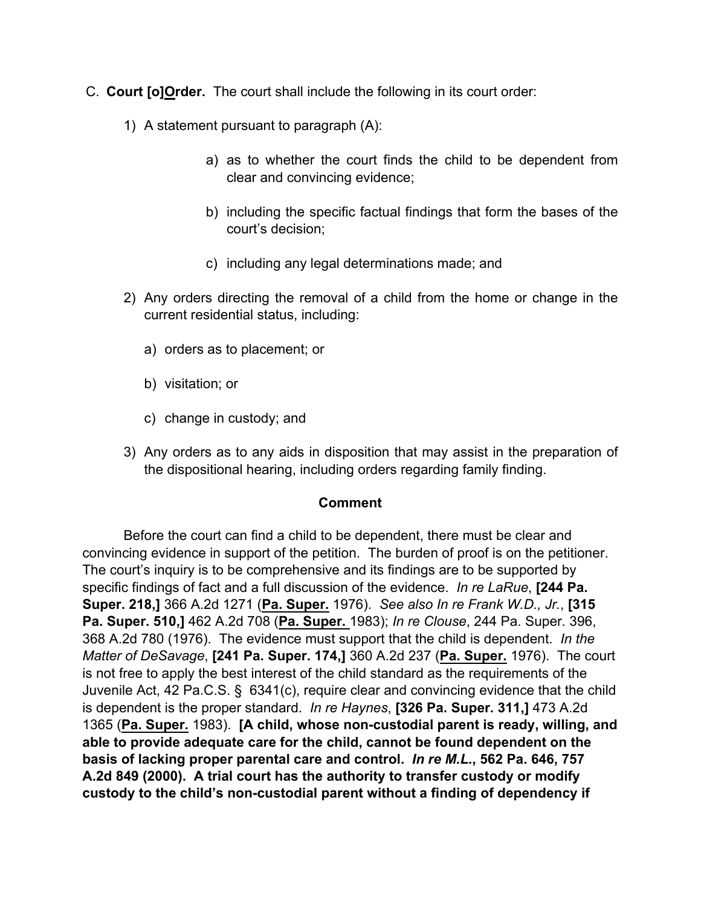- C. **Court [o]Order.** The court shall include the following in its court order:
	- 1) A statement pursuant to paragraph (A):
		- a) as to whether the court finds the child to be dependent from clear and convincing evidence;
		- b) including the specific factual findings that form the bases of the court's decision;
		- c) including any legal determinations made; and
	- 2) Any orders directing the removal of a child from the home or change in the current residential status, including:
		- a) orders as to placement; or
		- b) visitation; or
		- c) change in custody; and
	- 3) Any orders as to any aids in disposition that may assist in the preparation of the dispositional hearing, including orders regarding family finding.

#### **Comment**

 Before the court can find a child to be dependent, there must be clear and convincing evidence in support of the petition. The burden of proof is on the petitioner. The court's inquiry is to be comprehensive and its findings are to be supported by specific findings of fact and a full discussion of the evidence. *In re LaRue*, **[244 Pa. Super. 218,]** 366 A.2d 1271 (**Pa. Super.** 1976). *See also In re Frank W.D., Jr.*, **[315 Pa. Super. 510,]** 462 A.2d 708 (**Pa. Super.** 1983); *In re Clouse*, 244 Pa. Super. 396, 368 A.2d 780 (1976). The evidence must support that the child is dependent. *In the Matter of DeSavage*, **[241 Pa. Super. 174,]** 360 A.2d 237 (**Pa. Super.** 1976). The court is not free to apply the best interest of the child standard as the requirements of the Juvenile Act, 42 Pa.C.S. § 6341(c), require clear and convincing evidence that the child is dependent is the proper standard. *In re Haynes*, **[326 Pa. Super. 311,]** 473 A.2d 1365 (**Pa. Super.** 1983). **[A child, whose non-custodial parent is ready, willing, and able to provide adequate care for the child, cannot be found dependent on the basis of lacking proper parental care and control.** *In re M.L.***, 562 Pa. 646, 757 A.2d 849 (2000). A trial court has the authority to transfer custody or modify custody to the child's non-custodial parent without a finding of dependency if**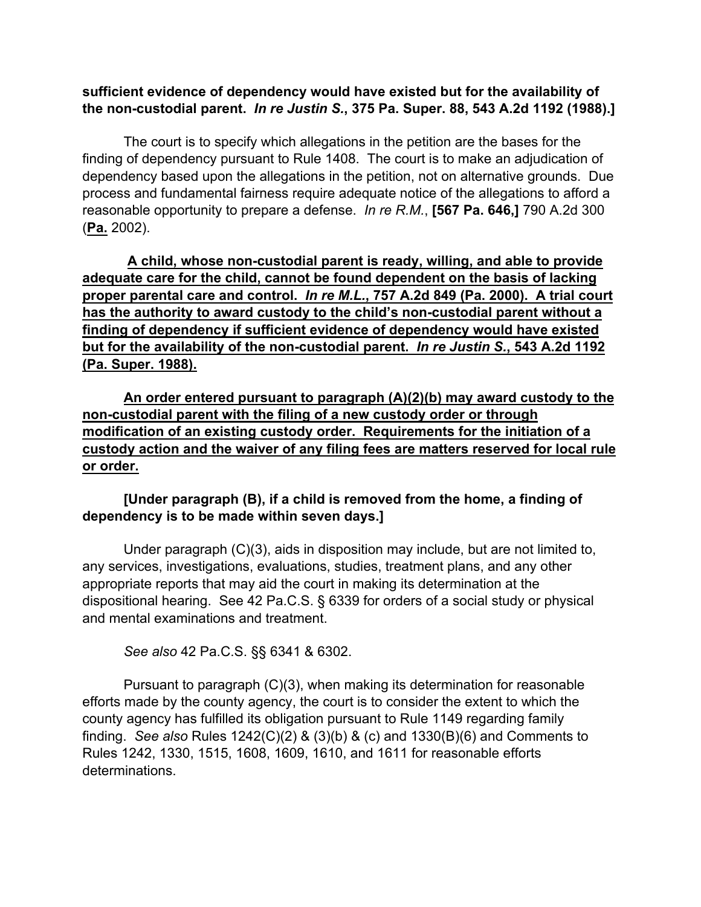## **sufficient evidence of dependency would have existed but for the availability of the non-custodial parent.** *In re Justin S.***, 375 Pa. Super. 88, 543 A.2d 1192 (1988).]**

 The court is to specify which allegations in the petition are the bases for the finding of dependency pursuant to Rule 1408. The court is to make an adjudication of dependency based upon the allegations in the petition, not on alternative grounds. Due process and fundamental fairness require adequate notice of the allegations to afford a reasonable opportunity to prepare a defense. *In re R.M.*, **[567 Pa. 646,]** 790 A.2d 300 (**Pa.** 2002).

 **A child, whose non-custodial parent is ready, willing, and able to provide adequate care for the child, cannot be found dependent on the basis of lacking proper parental care and control.** *In re M.L.***, 757 A.2d 849 (Pa. 2000). A trial court has the authority to award custody to the child's non-custodial parent without a finding of dependency if sufficient evidence of dependency would have existed but for the availability of the non-custodial parent.** *In re Justin S.***, 543 A.2d 1192 (Pa. Super. 1988).** 

**An order entered pursuant to paragraph (A)(2)(b) may award custody to the non-custodial parent with the filing of a new custody order or through modification of an existing custody order. Requirements for the initiation of a custody action and the waiver of any filing fees are matters reserved for local rule or order.**

# **[Under paragraph (B), if a child is removed from the home, a finding of dependency is to be made within seven days.]**

Under paragraph (C)(3), aids in disposition may include, but are not limited to, any services, investigations, evaluations, studies, treatment plans, and any other appropriate reports that may aid the court in making its determination at the dispositional hearing. See 42 Pa.C.S. § 6339 for orders of a social study or physical and mental examinations and treatment.

*See also* 42 Pa.C.S. §§ 6341 & 6302.

 Pursuant to paragraph (C)(3), when making its determination for reasonable efforts made by the county agency, the court is to consider the extent to which the county agency has fulfilled its obligation pursuant to Rule 1149 regarding family finding. *See also* Rules 1242(C)(2) & (3)(b) & (c) and 1330(B)(6) and Comments to Rules 1242, 1330, 1515, 1608, 1609, 1610, and 1611 for reasonable efforts determinations.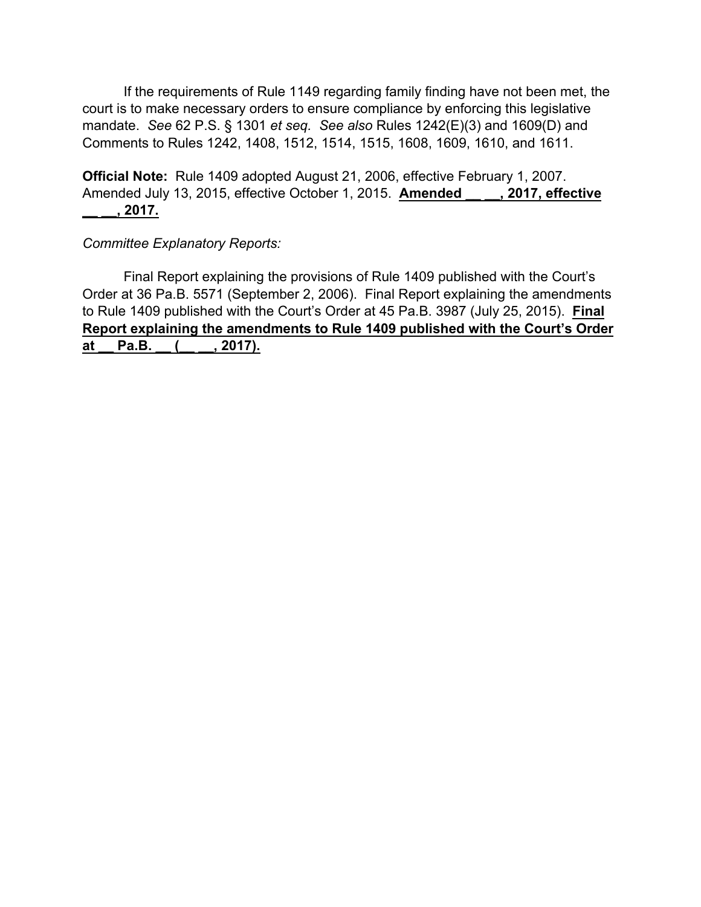If the requirements of Rule 1149 regarding family finding have not been met, the court is to make necessary orders to ensure compliance by enforcing this legislative mandate. *See* 62 P.S. § 1301 *et seq. See also* Rules 1242(E)(3) and 1609(D) and Comments to Rules 1242, 1408, 1512, 1514, 1515, 1608, 1609, 1610, and 1611.

**Official Note:** Rule 1409 adopted August 21, 2006, effective February 1, 2007. Amended July 13, 2015, effective October 1, 2015. **Amended \_\_ \_\_, 2017, effective \_\_ \_\_, 2017.**

*Committee Explanatory Reports:*

Final Report explaining the provisions of Rule 1409 published with the Court's Order at 36 Pa.B. 5571 (September 2, 2006). Final Report explaining the amendments to Rule 1409 published with the Court's Order at 45 Pa.B. 3987 (July 25, 2015). **Final Report explaining the amendments to Rule 1409 published with the Court's Order at \_\_ Pa.B. \_\_ (\_\_ \_\_, 2017).**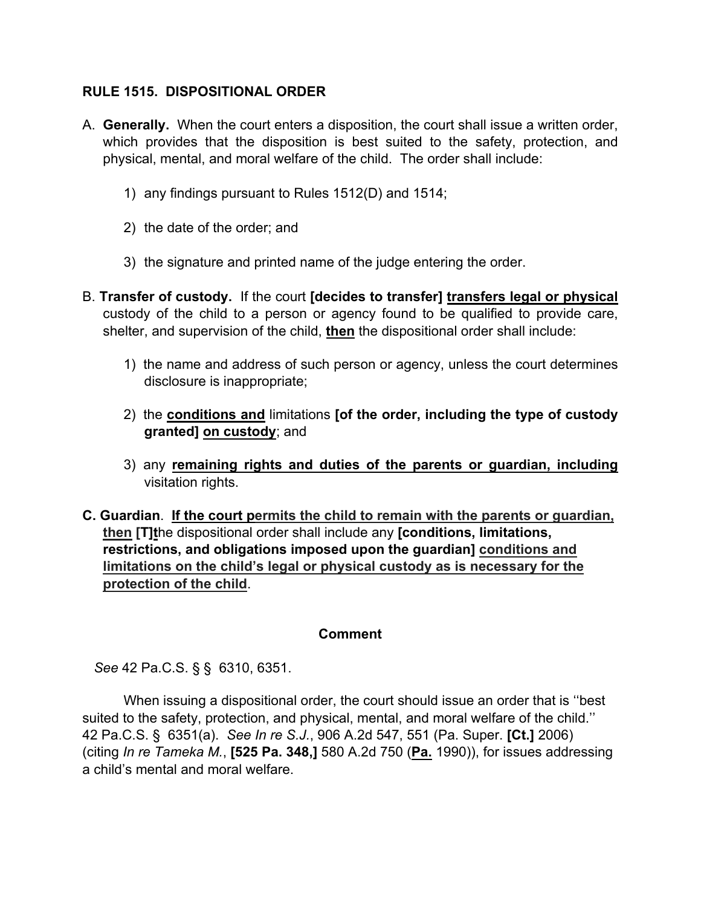# **RULE 1515. DISPOSITIONAL ORDER**

- A. **Generally.** When the court enters a disposition, the court shall issue a written order, which provides that the disposition is best suited to the safety, protection, and physical, mental, and moral welfare of the child. The order shall include:
	- 1) any findings pursuant to Rules 1512(D) and 1514;
	- 2) the date of the order; and
	- 3) the signature and printed name of the judge entering the order.
- B. **Transfer of custody.** If the court **[decides to transfer] transfers legal or physical** custody of the child to a person or agency found to be qualified to provide care, shelter, and supervision of the child, **then** the dispositional order shall include:
	- 1) the name and address of such person or agency, unless the court determines disclosure is inappropriate;
	- 2) the **conditions and** limitations **[of the order, including the type of custody granted] on custody**; and
	- 3) any **remaining rights and duties of the parents or guardian, including** visitation rights.
- **C. Guardian**. **If the court permits the child to remain with the parents or guardian, then [T]t**he dispositional order shall include any **[conditions, limitations, restrictions, and obligations imposed upon the guardian] conditions and limitations on the child's legal or physical custody as is necessary for the protection of the child**.

#### **Comment**

*See* 42 Pa.C.S. § § 6310, 6351.

 When issuing a dispositional order, the court should issue an order that is ''best suited to the safety, protection, and physical, mental, and moral welfare of the child.'' 42 Pa.C.S. § 6351(a). *See In re S.J.*, 906 A.2d 547, 551 (Pa. Super. **[Ct.]** 2006) (citing *In re Tameka M.*, **[525 Pa. 348,]** 580 A.2d 750 (**Pa.** 1990)), for issues addressing a child's mental and moral welfare.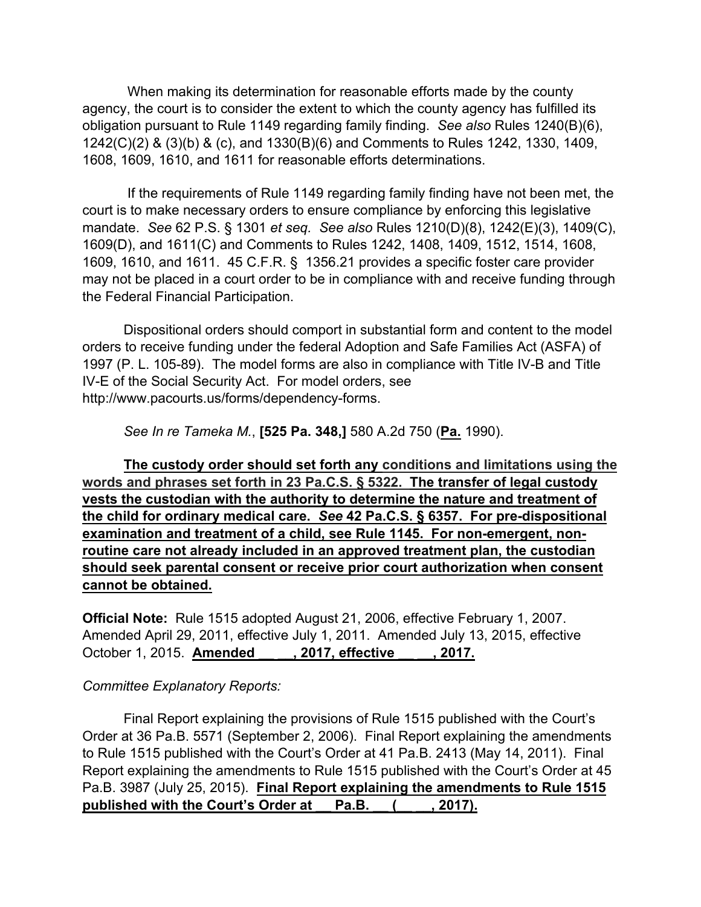When making its determination for reasonable efforts made by the county agency, the court is to consider the extent to which the county agency has fulfilled its obligation pursuant to Rule 1149 regarding family finding. *See also* Rules 1240(B)(6), 1242(C)(2) & (3)(b) & (c), and 1330(B)(6) and Comments to Rules 1242, 1330, 1409, 1608, 1609, 1610, and 1611 for reasonable efforts determinations.

 If the requirements of Rule 1149 regarding family finding have not been met, the court is to make necessary orders to ensure compliance by enforcing this legislative mandate. *See* 62 P.S. § 1301 *et seq. See also* Rules 1210(D)(8), 1242(E)(3), 1409(C), 1609(D), and 1611(C) and Comments to Rules 1242, 1408, 1409, 1512, 1514, 1608, 1609, 1610, and 1611. 45 C.F.R. § 1356.21 provides a specific foster care provider may not be placed in a court order to be in compliance with and receive funding through the Federal Financial Participation.

Dispositional orders should comport in substantial form and content to the model orders to receive funding under the federal Adoption and Safe Families Act (ASFA) of 1997 (P. L. 105-89). The model forms are also in compliance with Title IV-B and Title IV-E of the Social Security Act. For model orders, see http://www.pacourts.us/forms/dependency-forms.

*See In re Tameka M.*, **[525 Pa. 348,]** 580 A.2d 750 (**Pa.** 1990).

**The custody order should set forth any conditions and limitations using the words and phrases set forth in 23 Pa.C.S. § 5322. The transfer of legal custody vests the custodian with the authority to determine the nature and treatment of the child for ordinary medical care.** *See* **42 Pa.C.S. § 6357. For pre-dispositional examination and treatment of a child, see Rule 1145. For non-emergent, nonroutine care not already included in an approved treatment plan, the custodian should seek parental consent or receive prior court authorization when consent cannot be obtained.**

**Official Note:** Rule 1515 adopted August 21, 2006, effective February 1, 2007. Amended April 29, 2011, effective July 1, 2011. Amended July 13, 2015, effective October 1, 2015. **Amended \_\_ \_\_, 2017, effective \_\_ \_\_, 2017.**

#### *Committee Explanatory Reports:*

 Final Report explaining the provisions of Rule 1515 published with the Court's Order at 36 Pa.B. 5571 (September 2, 2006). Final Report explaining the amendments to Rule 1515 published with the Court's Order at 41 Pa.B. 2413 (May 14, 2011). Final Report explaining the amendments to Rule 1515 published with the Court's Order at 45 Pa.B. 3987 (July 25, 2015). **Final Report explaining the amendments to Rule 1515 published with the Court's Order at \_\_ Pa.B. \_\_ (\_\_ \_\_, 2017).**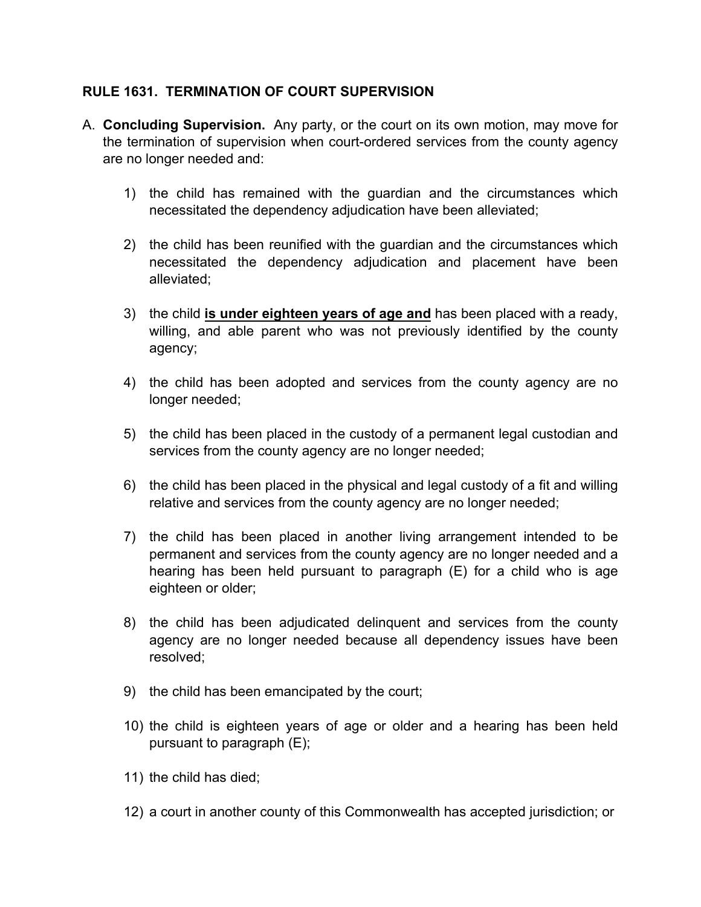### **RULE 1631. TERMINATION OF COURT SUPERVISION**

- A. **Concluding Supervision.** Any party, or the court on its own motion, may move for the termination of supervision when court-ordered services from the county agency are no longer needed and:
	- 1) the child has remained with the guardian and the circumstances which necessitated the dependency adjudication have been alleviated;
	- 2) the child has been reunified with the guardian and the circumstances which necessitated the dependency adjudication and placement have been alleviated;
	- 3) the child **is under eighteen years of age and** has been placed with a ready, willing, and able parent who was not previously identified by the county agency;
	- 4) the child has been adopted and services from the county agency are no longer needed;
	- 5) the child has been placed in the custody of a permanent legal custodian and services from the county agency are no longer needed;
	- 6) the child has been placed in the physical and legal custody of a fit and willing relative and services from the county agency are no longer needed;
	- 7) the child has been placed in another living arrangement intended to be permanent and services from the county agency are no longer needed and a hearing has been held pursuant to paragraph (E) for a child who is age eighteen or older;
	- 8) the child has been adjudicated delinquent and services from the county agency are no longer needed because all dependency issues have been resolved;
	- 9) the child has been emancipated by the court;
	- 10) the child is eighteen years of age or older and a hearing has been held pursuant to paragraph (E);
	- 11) the child has died;
	- 12) a court in another county of this Commonwealth has accepted jurisdiction; or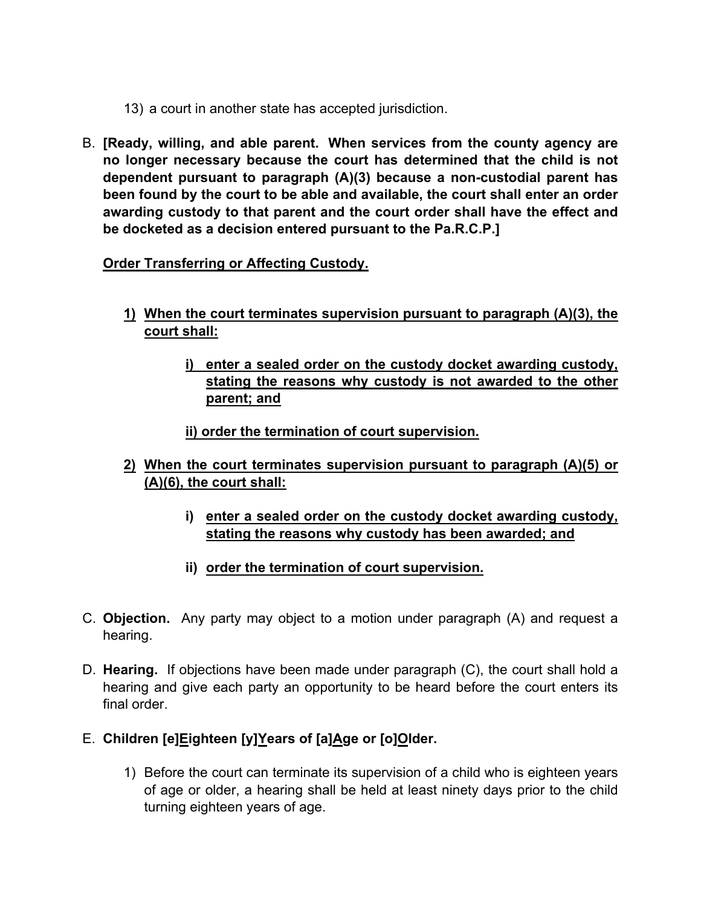- 13) a court in another state has accepted jurisdiction.
- B. **[Ready, willing, and able parent. When services from the county agency are no longer necessary because the court has determined that the child is not dependent pursuant to paragraph (A)(3) because a non-custodial parent has been found by the court to be able and available, the court shall enter an order awarding custody to that parent and the court order shall have the effect and be docketed as a decision entered pursuant to the Pa.R.C.P.]**

# **Order Transferring or Affecting Custody.**

- **1) When the court terminates supervision pursuant to paragraph (A)(3), the court shall:**
	- **i) enter a sealed order on the custody docket awarding custody, stating the reasons why custody is not awarded to the other parent; and**

**ii) order the termination of court supervision.**

- **2) When the court terminates supervision pursuant to paragraph (A)(5) or (A)(6), the court shall:**
	- **i) enter a sealed order on the custody docket awarding custody, stating the reasons why custody has been awarded; and**
	- **ii) order the termination of court supervision.**
- C. **Objection.**Any party may object to a motion under paragraph (A) and request a hearing.
- D. **Hearing.** If objections have been made under paragraph (C), the court shall hold a hearing and give each party an opportunity to be heard before the court enters its final order.
- E. **Children [e]Eighteen [y]Years of [a]Age or [o]Older.**
	- 1) Before the court can terminate its supervision of a child who is eighteen years of age or older, a hearing shall be held at least ninety days prior to the child turning eighteen years of age.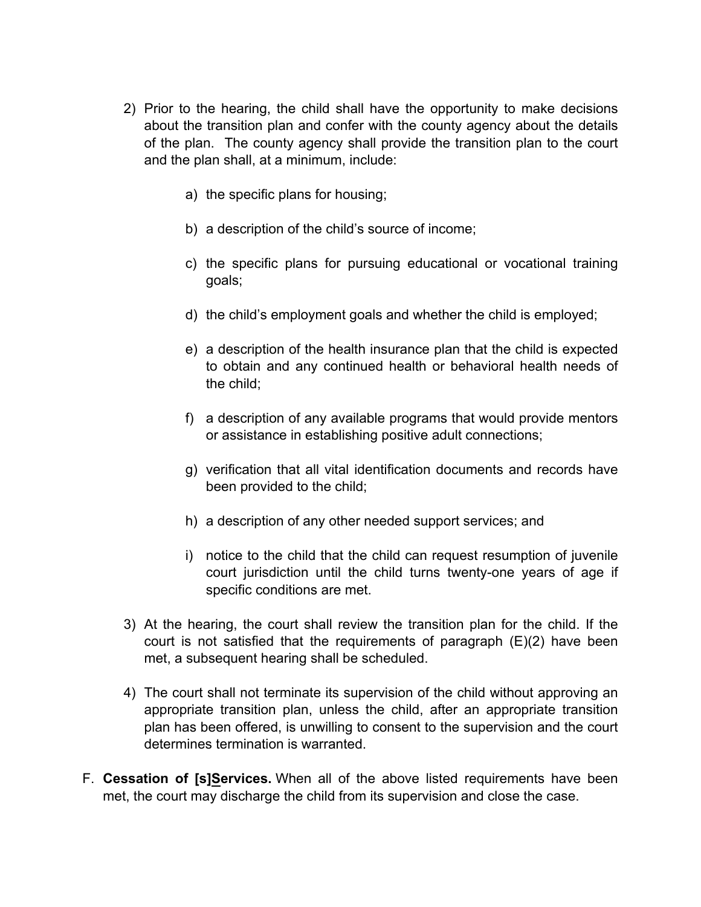- 2) Prior to the hearing, the child shall have the opportunity to make decisions about the transition plan and confer with the county agency about the details of the plan. The county agency shall provide the transition plan to the court and the plan shall, at a minimum, include:
	- a) the specific plans for housing;
	- b) a description of the child's source of income;
	- c) the specific plans for pursuing educational or vocational training goals;
	- d) the child's employment goals and whether the child is employed;
	- e) a description of the health insurance plan that the child is expected to obtain and any continued health or behavioral health needs of the child;
	- f) a description of any available programs that would provide mentors or assistance in establishing positive adult connections;
	- g) verification that all vital identification documents and records have been provided to the child;
	- h) a description of any other needed support services; and
	- i) notice to the child that the child can request resumption of juvenile court jurisdiction until the child turns twenty-one years of age if specific conditions are met.
- 3) At the hearing, the court shall review the transition plan for the child. If the court is not satisfied that the requirements of paragraph (E)(2) have been met, a subsequent hearing shall be scheduled.
- 4) The court shall not terminate its supervision of the child without approving an appropriate transition plan, unless the child, after an appropriate transition plan has been offered, is unwilling to consent to the supervision and the court determines termination is warranted.
- F. **Cessation of [s]Services.** When all of the above listed requirements have been met, the court may discharge the child from its supervision and close the case.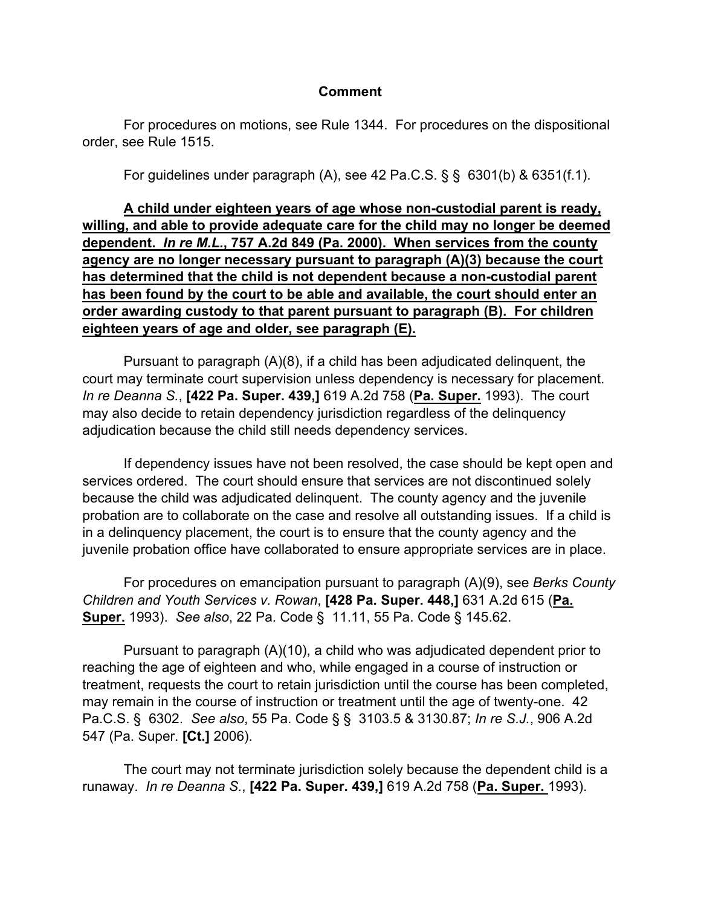#### **Comment**

For procedures on motions, see Rule 1344. For procedures on the dispositional order, see Rule 1515.

For guidelines under paragraph (A), see 42 Pa.C.S.  $\S$   $\S$   $\S$  6301(b) & 6351(f.1).

**A child under eighteen years of age whose non-custodial parent is ready, willing, and able to provide adequate care for the child may no longer be deemed dependent.** *In re M.L.***, 757 A.2d 849 (Pa. 2000). When services from the county agency are no longer necessary pursuant to paragraph (A)(3) because the court has determined that the child is not dependent because a non-custodial parent has been found by the court to be able and available, the court should enter an order awarding custody to that parent pursuant to paragraph (B). For children eighteen years of age and older, see paragraph (E).**

 Pursuant to paragraph (A)(8), if a child has been adjudicated delinquent, the court may terminate court supervision unless dependency is necessary for placement. *In re Deanna S.*, **[422 Pa. Super. 439,]** 619 A.2d 758 (**Pa. Super.** 1993). The court may also decide to retain dependency jurisdiction regardless of the delinquency adjudication because the child still needs dependency services.

 If dependency issues have not been resolved, the case should be kept open and services ordered. The court should ensure that services are not discontinued solely because the child was adjudicated delinquent. The county agency and the juvenile probation are to collaborate on the case and resolve all outstanding issues. If a child is in a delinquency placement, the court is to ensure that the county agency and the juvenile probation office have collaborated to ensure appropriate services are in place.

 For procedures on emancipation pursuant to paragraph (A)(9), see *Berks County Children and Youth Services v. Rowan*, **[428 Pa. Super. 448,]** 631 A.2d 615 (**Pa. Super.** 1993). *See also*, 22 Pa. Code § 11.11, 55 Pa. Code § 145.62.

 Pursuant to paragraph (A)(10), a child who was adjudicated dependent prior to reaching the age of eighteen and who, while engaged in a course of instruction or treatment, requests the court to retain jurisdiction until the course has been completed, may remain in the course of instruction or treatment until the age of twenty-one. 42 Pa.C.S. § 6302. *See also*, 55 Pa. Code § § 3103.5 & 3130.87; *In re S.J.*, 906 A.2d 547 (Pa. Super. **[Ct.]** 2006).

 The court may not terminate jurisdiction solely because the dependent child is a runaway. *In re Deanna S.*, **[422 Pa. Super. 439,]** 619 A.2d 758 (**Pa. Super.** 1993).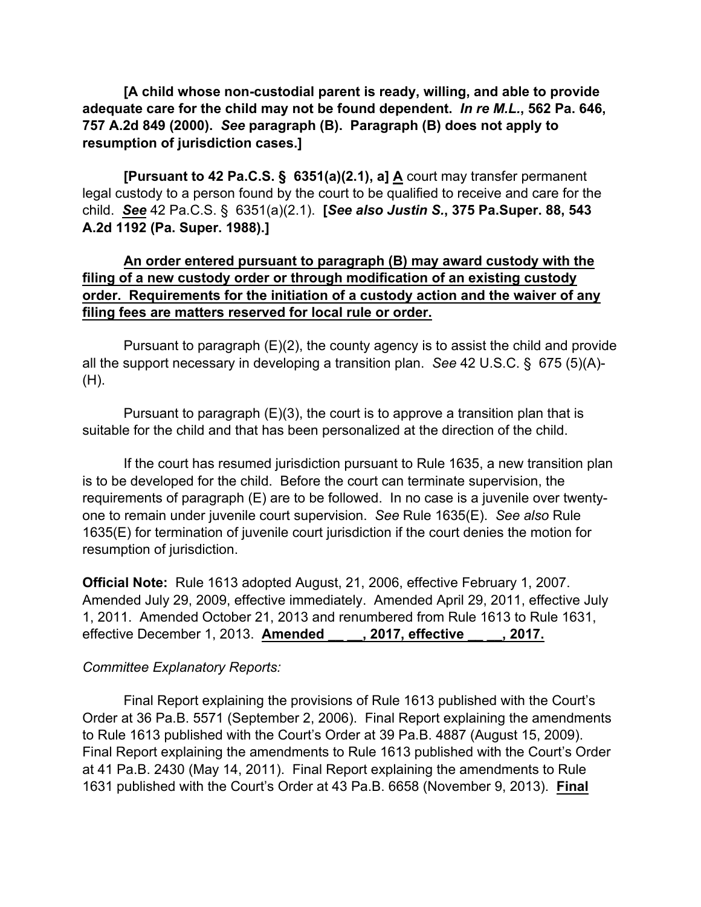**[A child whose non-custodial parent is ready, willing, and able to provide adequate care for the child may not be found dependent.** *In re M.L.***, 562 Pa. 646, 757 A.2d 849 (2000).** *See* **paragraph (B). Paragraph (B) does not apply to resumption of jurisdiction cases.]**

 **[Pursuant to 42 Pa.C.S. § 6351(a)(2.1), a] A** court may transfer permanent legal custody to a person found by the court to be qualified to receive and care for the child. *See* 42 Pa.C.S. § 6351(a)(2.1). **[***See also Justin S.***, 375 Pa.Super. 88, 543 A.2d 1192 (Pa. Super. 1988).]**

### **An order entered pursuant to paragraph (B) may award custody with the filing of a new custody order or through modification of an existing custody order. Requirements for the initiation of a custody action and the waiver of any filing fees are matters reserved for local rule or order.**

 Pursuant to paragraph (E)(2), the county agency is to assist the child and provide all the support necessary in developing a transition plan. *See* 42 U.S.C. § 675 (5)(A)- (H).

 Pursuant to paragraph (E)(3), the court is to approve a transition plan that is suitable for the child and that has been personalized at the direction of the child.

 If the court has resumed jurisdiction pursuant to Rule 1635, a new transition plan is to be developed for the child. Before the court can terminate supervision, the requirements of paragraph (E) are to be followed. In no case is a juvenile over twentyone to remain under juvenile court supervision. *See* Rule 1635(E). *See also* Rule 1635(E) for termination of juvenile court jurisdiction if the court denies the motion for resumption of jurisdiction.

**Official Note:** Rule 1613 adopted August, 21, 2006, effective February 1, 2007. Amended July 29, 2009, effective immediately. Amended April 29, 2011, effective July 1, 2011. Amended October 21, 2013 and renumbered from Rule 1613 to Rule 1631, effective December 1, 2013. **Amended \_\_ \_\_, 2017, effective \_\_ \_\_, 2017.**

#### *Committee Explanatory Reports:*

 Final Report explaining the provisions of Rule 1613 published with the Court's Order at 36 Pa.B. 5571 (September 2, 2006). Final Report explaining the amendments to Rule 1613 published with the Court's Order at 39 Pa.B. 4887 (August 15, 2009). Final Report explaining the amendments to Rule 1613 published with the Court's Order at 41 Pa.B. 2430 (May 14, 2011). Final Report explaining the amendments to Rule 1631 published with the Court's Order at 43 Pa.B. 6658 (November 9, 2013). **Final**